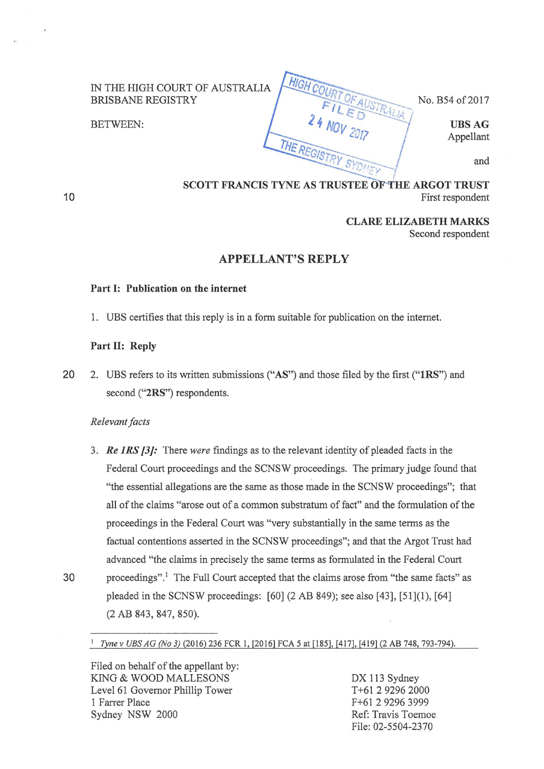IN THE HIGH COURT OF AUSTRALIA BRISBANE REGISTRY

BETWEEN:  $\left\{\begin{array}{ccc} \left\{\begin{array}{ccc} \left\{\begin{array}{ccc} \left\{\mathbf{0}\right\}\end{array}\right\} & \left\{\mathbf{0}\right\} & \left\{\mathbf{0}\right\} & \left\{\mathbf{0}\right\} & \left\{\mathbf{0}\right\} & \left\{\mathbf{0}\right\} & \left\{\mathbf{0}\right\} & \left\{\mathbf{0}\right\} & \left\{\mathbf{0}\right\} & \left\{\mathbf{0}\right\} & \left\{\mathbf{0}\right\} & \left\{\mathbf{0}\right\} & \left\{\mathbf{0}\right\} & \left\{\mathbf$ 

**10** 

No. B54 of 2017

Appellant

and

# SCOTT FRANCIS TYNE AS TRUSTEE OF THE ARGOT TRUST First respondent

HIGHC

THE REGIS

**CLARE ELIZABETH MARKS**  Second respondent

# **APPELLANT'S REPLY**

## **Part I: Publication on the internet**

1. UBS certifies that this reply is in a form suitable for publication on the intemet.

#### **Part II: Reply**

**20** 2. UBS refers to its written submissions **("AS")** and those filed by the first **("lRS")** and second **("2RS")** respondents.

### *Relevant facts*

3. *Re JRS {3]:* There *were* findings as to the relevant identity of pleaded facts in the Federal Court proceedings and the SCNSW proceedings. The primary judge found that "the essential allegations are the same as those made in the SCNSW proceedings"; that all of the claims "arose out of a common substratum of fact" and the formulation of the proceedings in the Federal Court was "very substantially in the same terms as the factual contentions asserted in the SCNSW proceedings"; and that the Argot Trust had advanced "the claims in precisely the same terms as formulated in the Federal Court 30 proceedings".<sup>1</sup> The Full Court accepted that the claims arose from "the same facts" as pleaded in the SCNSW proceedings: [60] (2 AB 849); see also [43], [51](1), [64] (2 AB 843, 847, 850).

<sup>1</sup>*Tyne v UBS AG (No 3)* (2016) 236 FCR 1, [2016] FCA 5 at [185], [417], [419] (2 AB 748, 793-794).

Filed on behalf of the appellant by: KING & WOOD MALLESONS Level61 Governor Phillip Tower 1 Farrer Place Sydney NSW 2000

DX 113 Sydney T +61 2 9296 2000 F+61 2 9296 3999 Ref: Travis Toemoe File: 02-5504-2370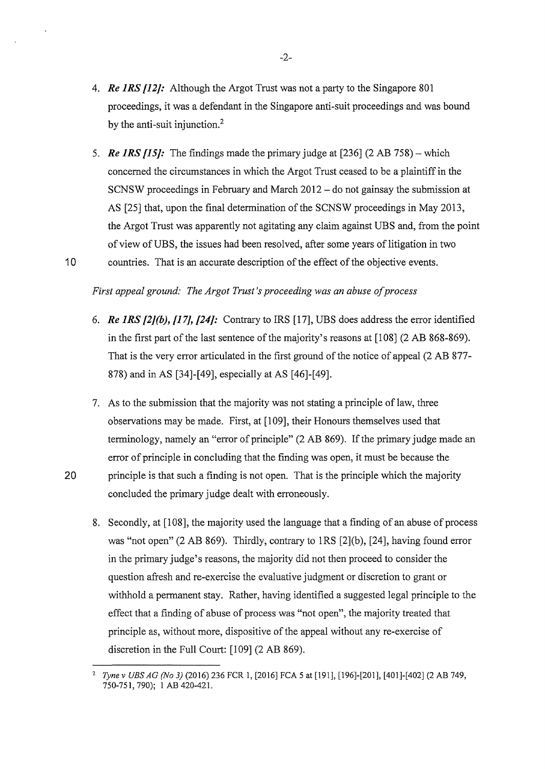- 4. *Re 1RS [12}:* Although the Argot Trust was not a party to the Singapore 801 proceedings, it was a defendant in the Singapore anti-suit proceedings and was bound by the anti-suit injunction.<sup>2</sup>
- 5. *Re 1RS {15}:* The findings made the primary judge at [236] (2 AB 758)- which concerned the circumstances in which the Argot Trust ceased to be a plaintiff in the SCNSW proceedings in February and March 2012- do not gainsay the submission at AS [25] that, upon the final determination of the SCNSW proceedings in May 2013, the Argot Trust was apparently not agitating any claim against UBS and, from the point of view of UBS, the issues had been resolved, after some years of litigation in two 10 countries. That is an accurate description of the effect of the objective events.

# *First appeal ground: The Argot Trust's proceeding was an abuse of process*

- 6. *Re 1RS {2/(b),* [17}, *[24}:* Contrary to IRS [17], UBS does address the error identified in the first part of the last sentence of the majority's reasons at [108] (2 AB 868-869). That is the very error articulated in the first ground of the notice of appeal (2 AB 877- 878) and in AS [34]-[49], especially at AS [46]-(49].
- 7. As to the submission that the majority was not stating a principle of law, three observations may be made. First, at [1 09], their Honours themselves used that terminology, namely an "error of principle" (2 AB 869). If the primary judge made an error of principle in concluding that the finding was open, it must be because the 20 principle is that such a finding is not open. That is the principle which the majority concluded the primary judge dealt with erroneously.
	- 8. Secondly, at [108], the majority used the language that a finding of an abuse of process was "not open" (2 AB 869). Thirdly, contrary to lRS [2](b), [24], having found error in the primary judge's reasons, the majority did not then proceed to consider the question afresh and re-exercise the evaluative judgment or discretion to grant or withhold a permanent stay. Rather, having identified a suggested legal principle to the effect that a finding of abuse of process was "not open", the majority treated that principle as, without more, dispositive of the appeal without any re-exercise of discretion in the Full Court: (109] (2 AB 869).

-2-

<sup>2</sup>*Tyne v UBS AG (No 3)* (2016) 236 FCR 1, [2016] FCA 5 at [191], (196]-[201], [401]-(402] (2 AB 749, 750-751, 790); I AB 420-421.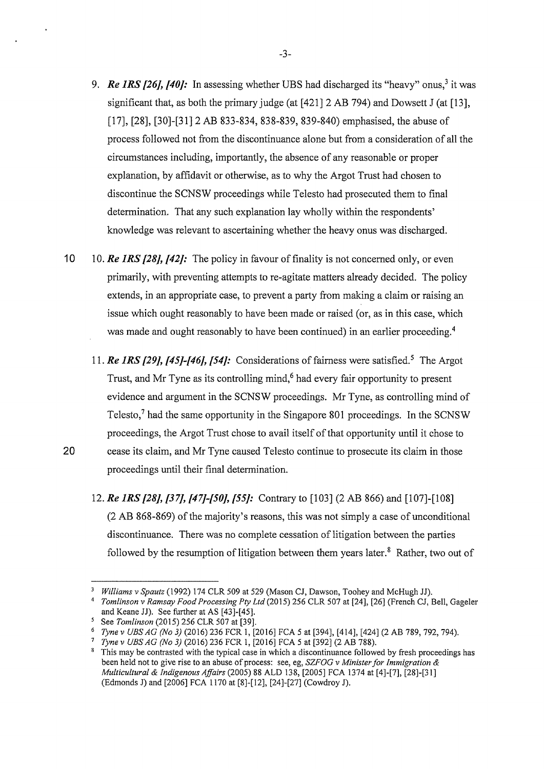- 9. *Re IRS [26], [40]:* In assessing whether UBS had discharged its "heavy" onus,<sup>3</sup> it was significant that, as both the primary judge (at [421] 2 AB 794) and Dowsett J (at [13], [17], [28], [30]-[31] 2 AB 833-834, 838-839, 839-840) emphasised, the abuse of process followed not from the discontinuance alone but from a consideration of all the circumstances including, importantly, the absence of any reasonable or proper explanation, by affidavit or otherwise, as to why the Argot Trust had chosen to discontinue the SCNSW proceedings while Telesto had prosecuted them to final determination. That any such explanation lay wholly within the respondents' knowledge was relevant to ascertaining whether the heavy onus was discharged.
- **10** 10. *Re JRS [28], [42]:* The policy in favour of finality is not concerned only, or even primarily, with preventing attempts to re-agitate matters already decided. The policy extends, in an appropriate case, to prevent a party from making a claim or raising an issue which ought reasonably to have been made or raised (or, as in this case, which was made and ought reasonably to have been continued) in an earlier proceeding.<sup>4</sup>
- 11. *Re JRS [29], [45]-[46], [54]:* Considerations of fairness were satisfied.5 The Argot Trust, and Mr Tyne as its controlling mind,<sup>6</sup> had every fair opportunity to present evidence and argument in the SCNSW proceedings. Mr Tyne, as controlling mind of Telesto,? had the same opportunity in the Singapore 801 proceedings. In the SCNSW proceedings, the Argot Trust chose to avail itself of that opportunity until it chose to 20 cease its claim, and Mr Tyne caused Telesto continue to prosecute its claim in those proceedings until their final determination.
	- 12. *Re lRS [28], [37], [47]-[50], [55]:* Contrary to (103] (2 AB 866) and [107]-[108] (2 AB 868-869) of the majority's reasons, this was not simply a case of unconditional discontinuance. There was no complete cessation of litigation between the parties followed by the resumption of litigation between them years later. $\delta$  Rather, two out of

-3-

<sup>3</sup>*Williams v Spautz* (1992) 174 CLR 509 at 529 (Mason CJ, Dawson, Toohey and McHugh JJ). 4 *Tomlinson v Ramsay Food Processing Pty Ltd* (2015) 256 CLR 507 at [24], [26] (French CJ, Bell, Gageler and Keane JJ). See further at AS [43]-[45].<br>See Tomlinson (2015) 256 CLR 507 at [39].

Tyne v UBS AG (No 3) (2016) 236 FCR 1, [2016] FCA 5 at [394], [414], [424] (2 AB 789, 792, 794).<br>Tyne v UBS AG (No 3) (2016) 236 FCR 1, [2016] FCA 5 at [392] (2 AB 788).<br>This may be contrasted with the typical case in whi

been held not to give rise to an abuse of process: see, eg, *SZFOG v Minister for Immigration* & *Multicultural* & *Indigenous Affairs* (2005) 88 ALD 138, [2005] FCA 1374 at [4]-[7], [28]-[31] (Edmonds J) and [2006] FCA 1170 at [8]-[12], [24]-[27] (Cowdroy J).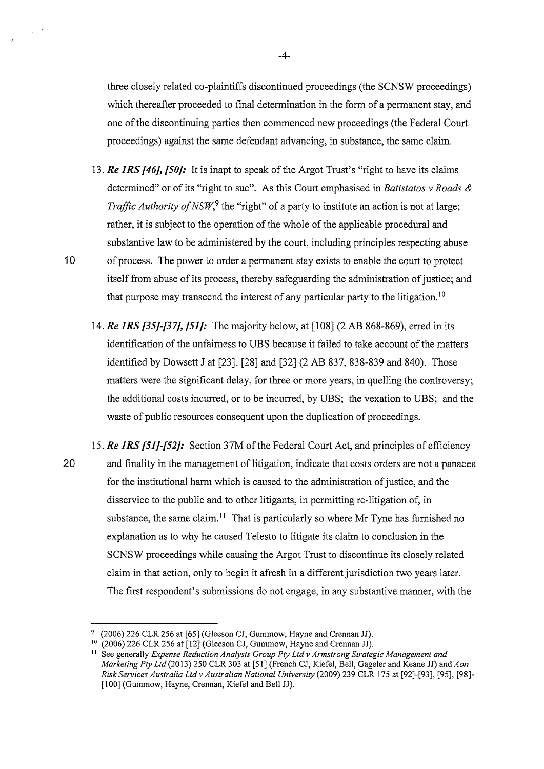three closely related eo-plaintiffs discontinued proceedings (the SCNSW proceedings) which thereafter proceeded to final determination in the form of a permanent stay, and one of the discontinuing parties then commenced new proceedings (the Federal Court proceedings) against the same defendant advancing, in substance, the same claim.

- 13. *Re JRS [46], [50]:* It is inapt to speak ofthe Argot Trust's "right to have its claims determined" or of its "right to sue". As this Court emphasised in *Batistatos v Roads* & *Traffic Authority of NSW*,<sup>9</sup> the "right" of a party to institute an action is not at large; rather, it is subject to the operation of the whole of the applicable procedural and substantive law to be administered by the court, including principles respecting abuse 10 of process. The power to order a permanent stay exists to enable the court to protect itself from abuse of its process, thereby safeguarding the administration of justice; and that purpose may transcend the interest of any particular party to the litigation.<sup>10</sup>
	- 14. *Re JRS {35]-{37], {51]:* The majority below, at [108] (2 AB 868-869), erred in its identification of the unfairness to UBS because it failed to take account of the matters identified by Dowsett J at [23], [28] and [32] (2 AB 837, 838-839 and 840). Those matters were the significant delay, for three or more years, in quelling the controversy; the additional costs incurred, or to be incurred, by UBS; the vexation to UBS; and the waste of public resources consequent upon the duplication of proceedings.
- 15. *Re JRS {51]-[52]:* Section 37M of the Federal Court Act, and principles of efficiency 20 and finality in the management of litigation, indicate that costs orders are not a panacea for the institutional harm which is caused to the administration of justice, and the disservice to the public and to other litigants, in permitting re-litigation of, in substance, the same claim.<sup>11</sup> That is particularly so where Mr Tyne has furnished no explanation as to why he caused Telesto to litigate its claim to conclusion in the SCNSW proceedings while causing the Argot Trust to discontinue its closely related claim in that action, only to begin it afresh in a different jurisdiction two years later. The first respondent's submissions do not engage, in any substantive manner, with the

-4-

 $\frac{1}{2}$  ,  $\frac{1}{2}$ 

<sup>9 (2006) 226</sup> CLR 256 at (65] (Gleeson CJ, Gummow, Hayne and Crennan JJ).

<sup>10</sup> (2006) 226 CLR 256 at [12] (Gleeson CJ, Gummow, Hayne and Crennan JJ).

<sup>&</sup>lt;sup>11</sup> See generally *Expense Reduction Analysts Group Pty Ltd v Armstrong Strategic Management and Marketing Pty Ltd* (20 13) 250 CLR 303 at [51] (French CJ, Kiefel, Bell, Gageler and Keane JJ) and *A on Risk Services Australia Ltd v Australian National University* (2009) 239 CLR 175 at [92]-[93], [95], [98]- [100] (Gummow, Hayne, Crennan, Kiefel and Bell JJ).